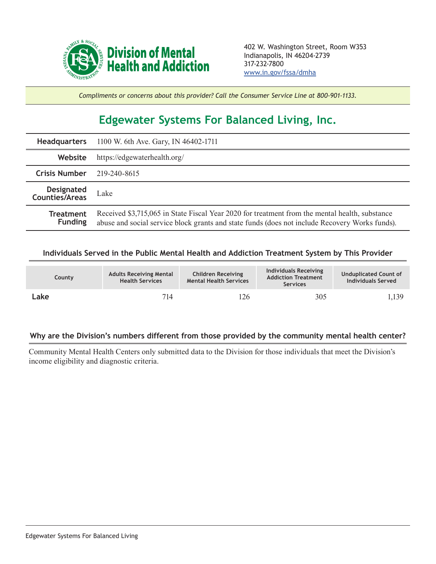

*Compliments or concerns about this provider? Call the Consumer Service Line at 800-901-1133.*

## **Edgewater Systems For Balanced Living, Inc.**

| <b>Headquarters</b>                | 1100 W. 6th Ave. Gary, IN 46402-1711                                                                                                                                                             |  |  |  |  |
|------------------------------------|--------------------------------------------------------------------------------------------------------------------------------------------------------------------------------------------------|--|--|--|--|
| Website                            | https://edgewaterhealth.org/                                                                                                                                                                     |  |  |  |  |
| <b>Crisis Number</b>               | 219-240-8615                                                                                                                                                                                     |  |  |  |  |
| Designated<br>Counties/Areas       | Lake                                                                                                                                                                                             |  |  |  |  |
| <b>Treatment</b><br><b>Funding</b> | Received \$3,715,065 in State Fiscal Year 2020 for treatment from the mental health, substance<br>abuse and social service block grants and state funds (does not include Recovery Works funds). |  |  |  |  |

## **Individuals Served in the Public Mental Health and Addiction Treatment System by This Provider**

| <b>County</b> | <b>Adults Receiving Mental</b><br><b>Health Services</b> | <b>Children Receiving</b><br><b>Mental Health Services</b> | Individuals Receiving<br><b>Addiction Treatment</b><br><b>Services</b> | <b>Unduplicated Count of</b><br>Individuals Served |
|---------------|----------------------------------------------------------|------------------------------------------------------------|------------------------------------------------------------------------|----------------------------------------------------|
| Lake          | 714                                                      | 126                                                        | 305                                                                    | 1,139                                              |

## **Why are the Division's numbers different from those provided by the community mental health center?**

Community Mental Health Centers only submitted data to the Division for those individuals that meet the Division's income eligibility and diagnostic criteria.